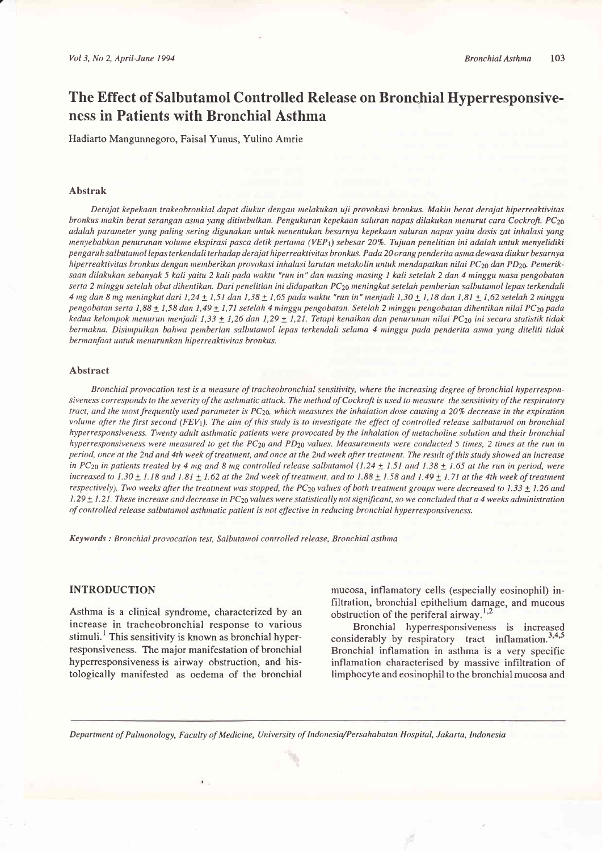# The Effect of Salbutamol Controlled Release on Bronchial Hyperresponsiveness in Patients with Bronchial Asthma

Hadiarto Mangunnegoro, Faisal Yunus, Yulino Amrie

#### Abstrak

Derajat kepekaan trakeobronkial dapat diukur dengan nelakukan uji provokasi bronkus. Makin berat derajat hiperreaktivitas bronkus makin berat serangan asma yang ditimbulkan. Pengukuran kepekaan saluran napas dilakukan menurut cara Cockroft. PC<sub>20</sub> adalah parameter yang paling sering digunakan untuk menentukan besarnya kepekaan saluran napas yaitu dosis zat inhalasi yang menyebabkan penurunan volume ekspirasi pasca detik pertama (VEP<sub>1</sub>) sebesar 20%. Tujuan penelitian ini adalah untuk menyelidiki pengaruh salbutamol lepas terkendali terhadap derajat hiperreaktivitas bronkus. Pada 20 orang penderita asma dewasa diukur besarnya hiperreaktivitas bronkus dengan memberikan provokasi inhalasi larutan metakolin untuk mendapatkan nilai PC<sub>20</sub> dan PD<sub>20</sub>. Pemeriksaan dilakukan sebanyak 5 kali yaitu 2 kali pada waktu "run in" dan masing-masing I kali setelah 2 dan 4 minggu masa pengobatan serta 2 minggu setelah obat dihentikan. Dari penelitian ini didapatkan PC<sub>20</sub> meningkat setelah pemberian salbutamol lepas terkendali 4 mg dan 8 mg meningkat dari 1,24 + 1,51 dan 1,38 + 1,65 pada waktu "run in" menjadi 1,30 + 1,18 dan 1,81 + 1,62 setelah 2 minggu pengobatan serta 1,88  $\pm$  1,58 dan 1,49  $\pm$  1,71 setelah 4 minggu pengobatan. Setelah 2 minggu pengobatan dihentikan nilai PC<sub>20</sub> pada kedua kelompok menurun menjadi 1,33  $\pm$  1,26 dan 1,29  $\pm$  1,21. Tetapi kenaikan dan penurunan nilai PC<sub>20</sub> ini secara statistik tidak bermakna. Disimpulkan bahwa pemberian salbutamol lepas terkendali selama 4 minggu pada penderita asma yang diteliti tidak bermanfaat untuk menurunkan hiperreaktivitas bronkus.

#### Abstract

Bronchial provocation test is a measure of tracheobronchial sensitivity, where the increasing degree of bronchial hyperresponsiveness corresponds to the severity of the asthmatic attack. The method of Cockroft is used to measure the sensitivity of the respiratory tract, and the most frequently used parameter is  $PC_{20}$ , which measures the inhalation dose causing a 20% decrease in the expiration volume after the first second ( $FEV<sub>1</sub>$ ). The aim of this study is to investigate the effect of controlled release salbutamol on bronchial hyperresponsiveness. Twenty adult asthmatic patients were provocated by the inhalation of metacholine solution and their bronchial hyperresponsiveness were measured to get the PC<sub>20</sub> and PD<sub>20</sub> values. Measurements were conducted 5 times, 2 times at the run in period, once at the 2nd and 4th week oftreatment, and once at the 2nd week ofier trearnent. The result of this study showed an increase in PC<sub>20</sub> in patients treated by 4 ng and 8 mg controlled release salbutamol (1.24  $\pm$  1.51 and 1.38  $\pm$  1.65 at the run in period, were increased to  $1.30 \pm 1.18$  and  $1.81 \pm 1.62$  at the 2nd week of treatment, and to  $1.88 \pm 1.58$  and  $1.49 \pm 1.71$  at the 4th week of treatment respectively). Two weeks after the treatment was stopped, the PC<sub>20</sub> values of both treatment groups were decreased to 1.33  $\pm$  1.26 and 1.29  $\pm$  1.21. These increase and decrease in PC<sub>20</sub> values were statistically not significant, so we concluded that a 4 weeks administration of controlled release salbutamol asthmatic patient is not effective in reducing bronchial hyperresponsiveness.

Keywords : Bronchial provocation test, Salbutanol controlled release, Bronchial asthma

## INTRODUCTION

Asthma is a clinical syndrome, characterized by an increase in tracheobronchial response to various stimuli.<sup>1</sup> This sensitivity is known as bronchial hyperresponsiveness. The major manifestation of bronchial hyperresponsiveness is airway obstruction, and histologically manifested as oedema of the bronchial

mucosa, inflamatory cells (especially eosinophil) infiltration, bronchial epithelium damage, and mucous obstruction of the periferal airway.<sup>1,2</sup>

Bronchial hyperresponsiveness is increased considerably by respiratory tract inflamation. $3,4,5$ Bronchial inflamation in asthma is a very specific inflamation characterised by massive infiltration of limphocyte and eosinophil to the bronchial mucosa and

Department of Pulmonology, Faculty of Medicine, University of Indonesia/Persahabatan Hospital, Jakarta, Indonesia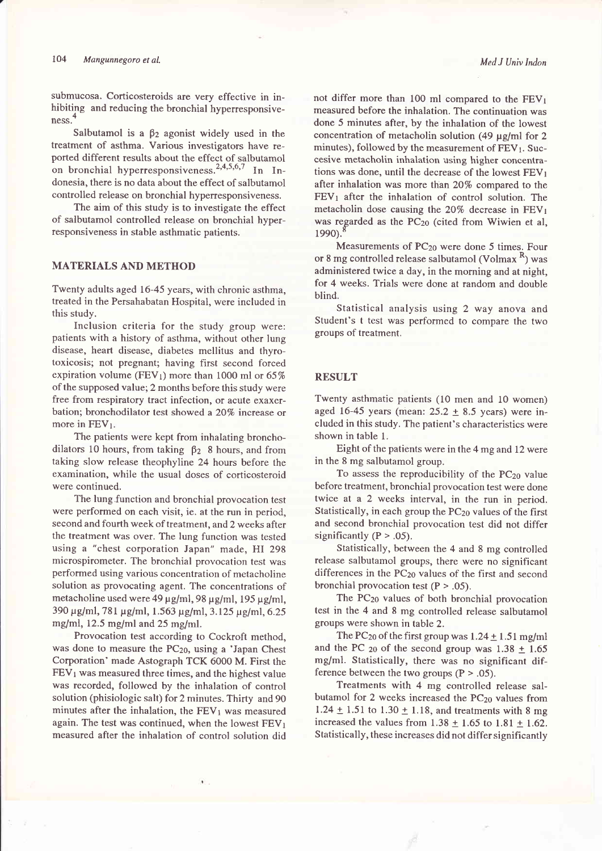submucosa. Corticosteroids are very effective in inhibiting and reducing the bronchial hyperresponsiveness.

Salbutamol is a  $\beta_2$  agonist widely used in the treatment of asthma. Various investigators have reported different results about the effect of salbutamol on bronchial hyperresponsiveness.<sup>2,4,5,6,7</sup> In Indonesia, there is no data about the effect of salbutamol controlled release on bronchial hyperresponsiveness.

The aim of this study is to investigate the effect of salbutamol controlled release on bronchial hyperresponsiveness in stable asthmatic patients.

# MATERIALS AND METHOD

Twenty adults aged 16-45 years, with chronic asthma, treated in the Persahabatan Hospital, were included in this study.

Inclusion criteria for the study group were: patients with a history of asthma, without other lung disease, heart disease, diabetes mellitus and thyrotoxicosis; not pregnant; having first second forced expiration volume (FEV<sub>1</sub>) more than 1000 ml or  $65\%$ of the supposed value; 2 months before this study were free from respiratory tract infection, or acute exaxerbation; bronchodilator test showed a 20% increase or more in  $FEV<sub>1</sub>$ .

The patients were kept from inhalating bronchodilators 10 hours, from taking  $\beta_2$  8 hours, and from taking slow release theophyline 24 hours before the examination, while the usual doses of corticosteroid were continued.

The lung.function and bronchial provocation test were performed on each visit, ie. at the run in period, second and fourth week of treatment, and 2 weeks after the treatment was over. The lung function was tested using a "chest corporation Japan" made, HI <sup>298</sup> microspirometer. The bronchial provocation test was performed using various concentration of metacholine solution as provocating agent. The concentrations of metacholine used were 49  $\mu$ g/ml, 98  $\mu$ g/ml, 195  $\mu$ g/ml, 390 µg/ml, 781 µg/ml, 1.563 µg/ml, 3.125 µg/ml, 6.25 mg/ml,  $12.5$  mg/ml and  $25$  mg/ml.

Provocation test according to Cockroft method, was done to measure the  $PC_{20}$ , using a 'Japan Chest Corporation' made Astograph TCK 6000 M. First the  $FEV<sub>1</sub>$  was measured three times, and the highest value was recorded, followed by the inhalation of control solution (phisiologic salt) for 2 minutes. Thirty and 90 minutes after the inhalation, the  $FEV<sub>1</sub>$  was measured again. The test was continued, when the lowest  $FEV<sub>1</sub>$ measured after the inhalation of control solution did

not differ more than 100 ml compared to the  $FEV<sub>1</sub>$ measured before the inhalation. The continuation was done 5 minutes after, by the inhalation of the lowest concentration of metacholin solution (49  $\mu$ g/ml for 2 minutes), followed by the measurement of  $FEV<sub>1</sub>$ . Succesive metacholin inhalation using higher concentrations was done, until the decrease of the lowest  $FEV<sub>1</sub>$ after inhalation was more than 20% compared to the  $FEV<sub>1</sub>$  after the inhalation of control solution. The metacholin dose causing the  $20\%$  decrease in  $FEV<sub>1</sub>$ was regarded as the PC<sub>20</sub> (cited from Wiwien et al, 1990).

Measurements of PC<sub>20</sub> were done 5 times. Four or 8 mg controlled release salbutamol (Volmax <sup>R</sup>) was administered twice a day, in the morning and at night, for 4 weeks. Trials were done at random and double blind.

Statistical analysis using 2 way anova and Student's t test was performed to compare the two groups of treatment.

#### RESULT

Twenty asthmatic patients (10 men and l0 women) aged 16-45 years (mean:  $25.2 \pm 8.5$  years) were included in this study. The patient's characteristics were shown in table l.

Eight of the patients were inthe 4 mg and 12 were in the 8 mg salbutamol group.

To assess the reproducibility of the PC<sub>20</sub> value before treatment, bronchial provocation test were done twice at a 2 weeks interval, in the run in period. Statistically, in each group the PCzo values of the first and second bronchial provocation test did not differ significantly ( $P > .05$ ).

Statistically, between the 4 and 8 mg controlled release salbutamol groups, there were no significant differences in the PC<sub>20</sub> values of the first and second bronchial provocation test  $(P > .05)$ .

The PC<sub>20</sub> values of both bronchial provocation test in the 4 and 8 mg controlled release salbutamol groups were shown in table 2.

The PC<sub>20</sub> of the first group was  $1.24 \pm 1.51$  mg/ml and the PC  $_{20}$  of the second group was 1.38  $\pm$  1.65 mg/ml. Statistically, there was no significant difference between the two groups  $(P > .05)$ .

Treatments with 4 mg controlled release salbutamol for 2 weeks increased the  $PC_{20}$  values from 1.24  $\pm$  1.51 to 1.30  $\pm$  1.18, and treatments with 8 mg increased the values from  $1.38 \pm 1.65$  to  $1.81 \pm 1.62$ . Statistically, these increases did not differ significantly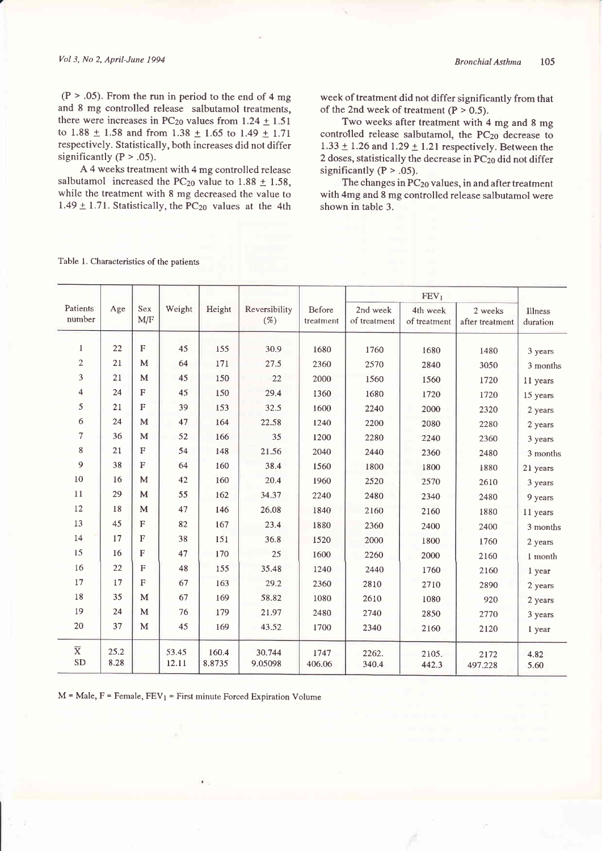$(P > .05)$ . From the run in period to the end of 4 mg and 8 mg controlled release salbutamol treatments, there were increases in PC<sub>20</sub> values from  $1.24 \pm 1.51$ to 1.88  $\pm$  1.58 and from 1.38  $\pm$  1.65 to 1.49  $\pm$  1.71 respectively. Statistically, both increases did not differ significantly  $(P > .05)$ .

A 4 weeks treatment with 4 mg controlled release salbutamol increased the PC<sub>20</sub> value to 1.88  $\pm$  1.58, while the treatment with 8 mg decreased the value to 1.49  $\pm$  1.71. Statistically, the PC<sub>20</sub> values at the 4th week of treatment did not differ significantly from that of the 2nd week of treatment  $(P > 0.5)$ .

Two weeks after treatment with 4 mg and 8 mg controlled release salbutamol, the PCzo decrease to  $1.33 \pm 1.26$  and  $1.29 \pm 1.21$  respectively. Between the 2 doses, statistically the decrease in PC<sub>20</sub> did not differ significantly  $(P > .05)$ .

The changes in  $PC_{20}$  values, in and after treatment with 4mg and 8 mg controlled release salbutamol were shown in table 3.

| Patients                | Age  | Sex          | Weight | Height | Reversibility | Before    | 2nd week     | 4th week     | 2 weeks         | Illness  |
|-------------------------|------|--------------|--------|--------|---------------|-----------|--------------|--------------|-----------------|----------|
| number                  |      | M/F          |        |        | $(\%)$        | treatment | of treatment | of treatment | after treatment | duration |
|                         |      |              |        |        |               |           |              |              |                 |          |
| 1                       | 22   | $\mathbf{F}$ | 45     | 155    | 30.9          | 1680      | 1760         | 1680         | 1480            | 3 years  |
| $\sqrt{2}$              | 21   | M            | 64     | 171    | 27.5          | 2360      | 2570         | 2840         | 3050            | 3 months |
| 3                       | 21   | M            | 45     | 150    | 22            | 2000      | 1560         | 1560         | 1720            | 11 years |
| 4                       | 24   | $\mathbf{F}$ | 45     | 150    | 29.4          | 1360      | 1680         | 1720         | 1720            | 15 years |
| 5                       | 21   | F            | 39     | 153    | 32.5          | 1600      | 2240         | 2000         | 2320            | 2 years  |
| 6                       | 24   | M            | 47     | 164    | 22.58         | 1240      | 2200         | 2080         | 2280            | 2 years  |
| $\overline{7}$          | 36   | M            | 52     | 166    | 35            | 1200      | 2280         | 2240         | 2360            | 3 years  |
| 8                       | 21   | F            | 54     | 148    | 21.56         | 2040      | 2440         | 2360         | 2480            | 3 months |
| 9                       | 38   | $\mathbf{F}$ | 64     | 160    | 38.4          | 1560      | 1800         | 1800         | 1880            | 21 years |
| 10                      | 16   | M            | 42     | 160    | 20.4          | 1960      | 2520         | 2570         | 2610            | 3 years  |
| 11                      | 29   | M            | 55     | 162    | 34.37         | 2240      | 2480         | 2340         | 2480            | 9 years  |
| 12                      | 18   | $\mathbf{M}$ | 47     | 146    | 26.08         | 1840      | 2160         | 2160         | 1880            | 11 years |
| 13                      | 45   | ${\bf F}$    | 82     | 167    | 23.4          | 1880      | 2360         | 2400         | 2400            | 3 months |
| 14                      | 17   | $\mathbf{F}$ | 38     | 151    | 36.8          | 1520      | 2000         | 1800         | 1760            | 2 years  |
| 15                      | 16   | F            | 47     | 170    | 25            | 1600      | 2260         | 2000         | 2160            | 1 month  |
| 16                      | 22   | F            | 48     | 155    | 35.48         | 1240      | 2440         | 1760         | 2160            | 1 year   |
| 17                      | 17   | $\mathbf F$  | 67     | 163    | 29.2          | 2360      | 2810         | 2710         | 2890            | 2 years  |
| 18                      | 35   | $\mathbf{M}$ | 67     | 169    | 58.82         | 1080      | 2610         | 1080         | 920             | 2 years  |
| 19                      | 24   | M            | 76     | 179    | 21.97         | 2480      | 2740         | 2850         | 2770            | 3 years  |
| 20                      | 37   | M            | 45     | 169    | 43.52         | 1700      | 2340         | 2160         | 2120            |          |
|                         |      |              |        |        |               |           |              |              |                 | 1 year   |
| $\overline{\textbf{X}}$ | 25.2 |              | 53.45  | 160.4  | 30.744        | 1747      | 2262.        | 2105.        | 2172            | 4.82     |
| SD                      | 8.28 |              | 12.11  | 8.8735 | 9.05098       | 406.06    | 340.4        | 442.3        | 497.228         | 5.60     |

Table l. Characteristics of the patients

 $M = Male, F = Female, FEV<sub>1</sub> = First minute Forced Exploration Volume$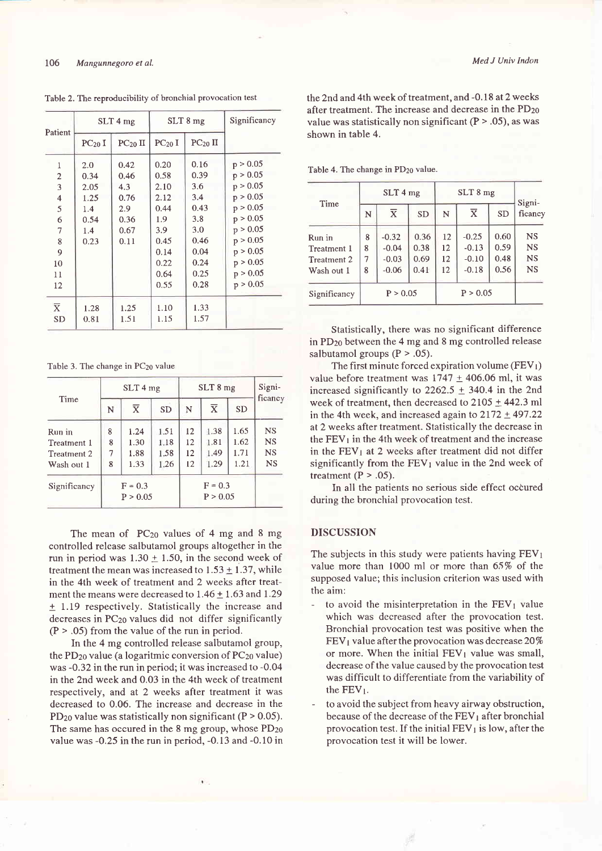| Patient                 |             | $SLT$ 4 mg   |                    | $SLT$ 8 mg   | Significancy |  |
|-------------------------|-------------|--------------|--------------------|--------------|--------------|--|
|                         | $PC_{20}$ I | $PC_{20}$ II | PC <sub>20</sub> I | $PC_{20}$ II |              |  |
| 1                       | 2.0         | 0.42         | 0.20               | 0.16         | p > 0.05     |  |
| $\overline{2}$          | 0.34        | 0.46         | 0.58               | 0.39         | p > 0.05     |  |
| 3                       | 2.05        | 4.3          | 2.10               | 3.6          | p > 0.05     |  |
| $\overline{\mathbf{4}}$ | 1.25        | 0.76         | 2.12               | 3.4          | p > 0.05     |  |
| 5                       | 1.4         | 2.9          | 0.44               | 0.43         | p > 0.05     |  |
| 6                       | 0.54        | 0.36         | 1.9                | 3.8          | p > 0.05     |  |
| 7                       | 1.4         | 0.67         | 3.9                | 3.0          | p > 0.05     |  |
| 8                       | 0.23        | 0.11         | 0.45               | 0.46         | p > 0.05     |  |
| 9                       |             |              | 0.14               | 0.04         | p > 0.05     |  |
| 10                      |             |              | 0.22               | 0.24         | p > 0.05     |  |
| 11                      |             |              | 0.64               | 0.25         | p > 0.05     |  |
| 12                      |             |              | 0.55               | 0.28         | p > 0.05     |  |
| $\overline{X}$          | 1.28        | 1.25         | 1.10               | 1.33         |              |  |
| <b>SD</b>               | 0.81        | 1.51         | 1.15               | 1.57         |              |  |

Table 2. The reproducibility of bronchial provocation test

Table 3. The change in PC<sub>20</sub> value

|              |                       | $SLT$ 4 mg              |           | SLT 8 mg              |                         |           | Signi-    |
|--------------|-----------------------|-------------------------|-----------|-----------------------|-------------------------|-----------|-----------|
| Time         | N                     | $\overline{\mathrm{x}}$ | <b>SD</b> | N                     | $\overline{\mathbf{X}}$ | <b>SD</b> | ficancy   |
| Run in       | 8                     | 1.24                    | 1.51      | 12                    | 1.38                    | 1.65      | <b>NS</b> |
| Treatment 1  | 8                     | 1.30                    | 1.18      | 12                    | 1.81                    | 1.62      | <b>NS</b> |
| Treatment 2  | 7                     | 1.88                    | 1.58      | 12                    | 1.49                    | 1.71      | <b>NS</b> |
| Wash out 1   | 8                     | 1.33                    | 1.26      | 12                    | 1.29                    | 1.21      | <b>NS</b> |
| Significancy | $F = 0.3$<br>P > 0.05 |                         |           | $F = 0.3$<br>P > 0.05 |                         |           |           |

The mean of PC<sub>20</sub> values of 4 mg and 8 mg controlled release salbutamol groups altogether in the run in period was  $1.30 \pm 1.50$ , in the second week of treatment the mean was increased to  $1.53 \pm 1.37$ , while in the 4th week of treatment and 2 weeks after treatment the means were decreased to  $1.46 \pm 1.63$  and  $1.29$  $\pm$  1.19 respectively. Statistically the increase and decreases in PCzo values did not differ significantly  $(P > .05)$  from the value of the run in period.

In the 4 mg controlled release salbutamol group, the PD<sub>20</sub> value (a logaritmic conversion of PC<sub>20</sub> value) was -0.32 in the run in period; it was increased to -0.04 in the 2nd week and 0.03 in the 4th week of treatment respectively, and at 2 weeks after treatment it was decreased to 0.06. The increase and decrease in the  $PD_{20}$  value was statistically non significant ( $P > 0.05$ ). The same has occured in the  $8 \text{ mg}$  group, whose  $PD_{20}$ value was -0,25 in the run in period, -0.13 and -0.10 in

the 2nd and 4th week of treatment, and -0.18 at 2 weeks after treatment. The increase and decrease in the PD<sub>20</sub> value was statistically non significant  $(P > .05)$ , as was shown in table 4.

Table 4. The change in PD<sub>20</sub> value.

|                    |          | $SLT$ 4 mg              |           |          | Signi-                  |           |           |
|--------------------|----------|-------------------------|-----------|----------|-------------------------|-----------|-----------|
| Time               | N        | $\overline{\mathbf{x}}$ | <b>SD</b> | N        | $\overline{\mathbf{x}}$ | <b>SD</b> | ficancy   |
| Run in             | 8        | $-0.32$                 | 0.36      | 12       | $-0.25$                 | 0.60      | <b>NS</b> |
| Treatment 1        | 8        | $-0.04$                 | 0.38      | 12       | $-0.13$                 | 0.59      | <b>NS</b> |
| <b>Treatment 2</b> | 7        | $-0.03$                 | 0.69      | 12       | $-0.10$                 | 0.48      | <b>NS</b> |
| Wash out 1         | 8        | $-0.06$                 | 0.41      | 12       | $-0.18$                 | 0.56      | <b>NS</b> |
| Significancy       | P > 0.05 |                         |           | P > 0.05 |                         |           |           |

Statistically, there was no significant difference in PDzo between the 4 mg and 8 mg controlled release salbutamol groups  $(P > .05)$ .

The first minute forced expiration volume ( $FEV<sub>1</sub>$ ) value before treatment was  $1747 \pm 406.06$  ml, it was increased significantly to  $2262.5 \pm 340.4$  in the 2nd week of treatment, then decreased to  $2105 \pm 442.3$  ml in the 4th week, and increased again to  $2172 \pm 497.22$ at 2 weeks after treatment. Statistically the decrease in the  $FEV<sub>1</sub>$  in the 4th week of treatment and the increase in the  $FEV<sub>1</sub>$  at 2 weeks after treatment did not differ significantly from the  $FEV<sub>1</sub>$  value in the 2nd week of treatment  $(P > .05)$ .

In all the patients no serious side effect ocôured during the bronchial provocation test.

#### DISCUSSION

The subjects in this study were patients having  $FEV<sub>1</sub>$ value more than 1000 ml or more than 65% of the supposed value; this inclusion criterion was used with the aim:

- to avoid the misinterpretation in the  $FEV<sub>1</sub>$  value which was decreased after the provocation test, Bronchial provocation test was positive when the  $FEV<sub>1</sub>$  value after the provocation was decrease 20% or more. When the initial  $FEV<sub>1</sub>$  value was small, decrease of the value caused by the provocation test was difficult to differentiate from the variability of the FEV<sub>1</sub>.
- to avoid the subject from heavy airway obstruction, because of the decrease of the FEV<sub>1</sub> after bronchial provocation test. If the initial  $FEV<sub>1</sub>$  is low, after the provocation test it will be lower.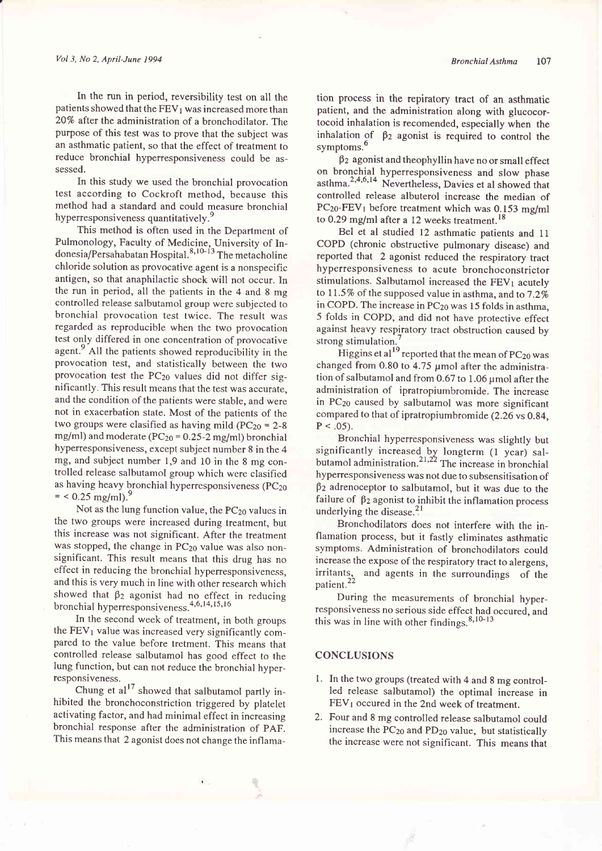In the run in period, reversibility test on all the patients showed that the  $FEV<sub>1</sub>$  was increased more than 20% after the administration of a bronchodilator. The purpose of this test was to prove that the subject was an asthmatic patient, so that the effect of treatment to reduce bronchial hyperresponsiveness could be assessed.

In this study we used the bronchial provocation test according to Cockroft method, because this method had a standard and could measure bronchial hyperresponsiveness quantitatively.<sup>9</sup>

This method is often used in the Department of Pulmonology, Faculty of Medicine, University of Indonesia/Persahabatan Hospital.<sup>8,10-13</sup> The metacholine chloride solution as provocative agent is a nonspecific antigen, so that anaphilactic shock will not occur. In the run in period, all the patients in the 4 and 8 mg controlled release salbutamol group were subjected to bronchial provocation test twice. The result was regarded as reproducible when the two provocation test only differed in one concentration of provocative agent.<sup>9</sup> All the patients showed reproducibility in the provocation test, and statistically between the two provocation test the  $PC_{20}$  values did not differ significantly. This result means that the test was accurate, and the condition of the patients were stable, and were not in exacerbation state. Most of the patients of the two groups were clasified as having mild  $(PC_{20} = 2-8)$ mg/ml) and moderate ( $PC_{20} = 0.25 - 2$  mg/ml) bronchial hyperresponsiveness, except subject number 8 in the 4 mg, and subject number 1,9 and l0 in the 8 mg controlled release salbutamol group which were clasified as having heavy bronchial hyperresponsiveness (PC<sub>20</sub>  $=$  < 0.25 mg/ml).

Not as the lung function value, the PC<sub>20</sub> values in the two groups were increased during treatment, but this increase was not significant. After the treatment was stopped, the change in PC<sub>20</sub> value was also nonsignificant. This result means that this drug has no effect in reducing the bronchial hyperresponsiveness, and this is very much in line with other research which showed that  $\beta_2$  agonist had no effect in reducing bronchial hyperresponsiveness.<sup>4,6,14,15,16</sup>

In the second week of treatment, in both groups the  $FEV<sub>1</sub>$  value was increased very significantly compared to the value before tretment. This means that controlled release salbutamol has good effect to the lung function, but can not reduce the bronchial hyperresponsivenéss.

Chung et al<sup>17</sup> showed that salbutamol partly inhibited the bronchoconstriction triggered by platelet activating factor, and had minimal effect in increasing bronchial response after the administration of pAF. This means that 2 agonist does not change the inflamation process in the repiratory tract of an asthmatic patient, and the administration along with glucocortocoid inhalation is recomended, especially when the inhalation of  $\beta_2$  agonist is required to control the symptoms.<sup>6</sup>

 $\beta_2$  agonist and theophyllin have no or small effect on bronchial. hyperresponsiveness and slow phase asthma.<sup>2,4,6,14</sup> Nevertheless, Davies et al showed that controlled release albuterol increase the median of  $PC_{20}$ -FEV<sub>1</sub> before treatment which was 0.153 mg/ml to 0.29 mg/ml after a 12 weeks treatment.<sup>18</sup>

Bel et al studied 12 asthmatic patients and 11 COPD (chronic obstructive pulmonary disease) and reported that 2 agonist reduced the respiratory tract hyperresponsiveness to acute bronchoconstrictor stimulations. Salbutamol increased the  $FEV<sub>1</sub>$  acutely to 11.5% of the supposed value in asthma, and to  $7.2\%$ in COPD. The increase in PC<sub>20</sub> was 15 folds in asthma, 5 folds in COPD, and did not have protective effect against heavy respiratory tract obstruction caused by strong stimulation.'

Higgins et al<sup>19</sup> reported that the mean of  $PC_{20}$  was changed from 0.80 to 4.75 µmol after the administration of salbutamol and from 0.67 to 1.06  $\mu$ mol after the administration of ipratropiumbromide. The increase in PC<sub>20</sub> caused by salbutamol was more significant compared to that of ipratropiumbromide (2.26 vs 0.84,  $P < .05$ ).

Bronchial hyperresponsiveness was slightly but significantly increased by longterm (1 year) salbutamol administration.<sup>21,22</sup> The increase in bronchia hyperresponsiveness was not due to subsensitisation of  $\beta_2$  adrenoceptor to salbutamol, but it was due to the failure of  $\beta_2$  agonist to inhibit the inflamation process underlying the disease. $3<sup>21</sup>$ 

Bronchodilators does not interfere with the inflamation process, but it fastly eliminates asthmatic symptoms, Administration of bronchodilators could increase the expose of the respiratory tract to alergens, and agents in the surroundings of the irritants,<br>patient.<sup>22</sup>

During the measurements of bronchial hyperresponsiveness no serious side effect had occured, and this was in line with other findings.  $8,10-13$ 

# **CONCLUSIONS**

- 1. In the two groups (treated with 4 and 8 mg controlled release salbutamol) the optimal increase in FEVI occured in the 2nd week of treatment.
- 2. Four and 8 mg controlled release salbutamol could increase the PC<sub>20</sub> and PD<sub>20</sub> value, but statistically the increase were not significant. This means that